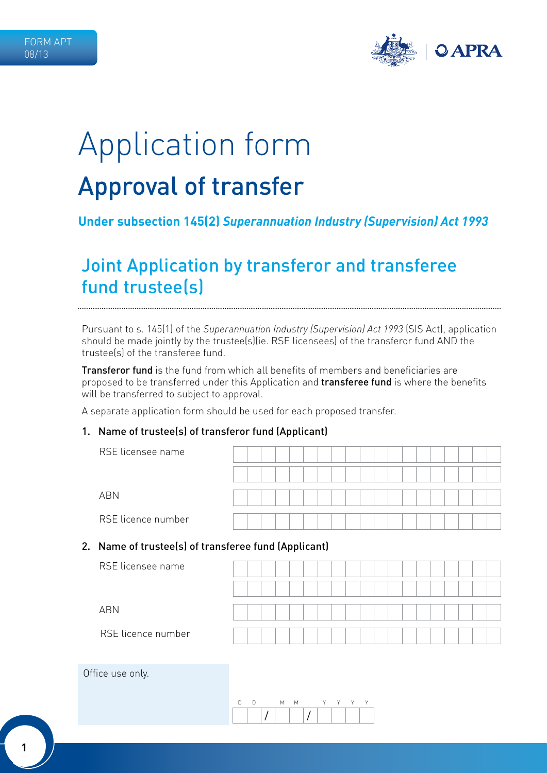

# Application form Approval of transfer

# **Under subsection 145(2)** *Superannuation Industry (Supervision) Act 1993*

# Joint Application by transferor and transferee fund trustee(s)

Pursuant to s. 145(1) of the *Superannuation Industry (Supervision) Act 1993* (SIS Act), application should be made jointly by the trustee(s)(ie. RSE licensees) of the transferor fund AND the trustee(s) of the transferee fund.

**Transferor fund** is the fund from which all benefits of members and beneficiaries are proposed to be transferred under this Application and **transferee fund** is where the benefits will be transferred to subject to approval.

A separate application form should be used for each proposed transfer.

#### 1. Name of trustee(s) of transferor fund (Applicant)

| RSE licensee name  |  |  |  |  |  |  |  |  |  |  |
|--------------------|--|--|--|--|--|--|--|--|--|--|
|                    |  |  |  |  |  |  |  |  |  |  |
| <b>ABN</b>         |  |  |  |  |  |  |  |  |  |  |
| RSE licence number |  |  |  |  |  |  |  |  |  |  |

#### 2. Name of trustee(s) of transferee fund (Applicant)

| RSE licensee name  |  |  |  |  |  |  |  |  |  |  |
|--------------------|--|--|--|--|--|--|--|--|--|--|
|                    |  |  |  |  |  |  |  |  |  |  |
| ABN                |  |  |  |  |  |  |  |  |  |  |
| RSE licence number |  |  |  |  |  |  |  |  |  |  |

#### Office use only.

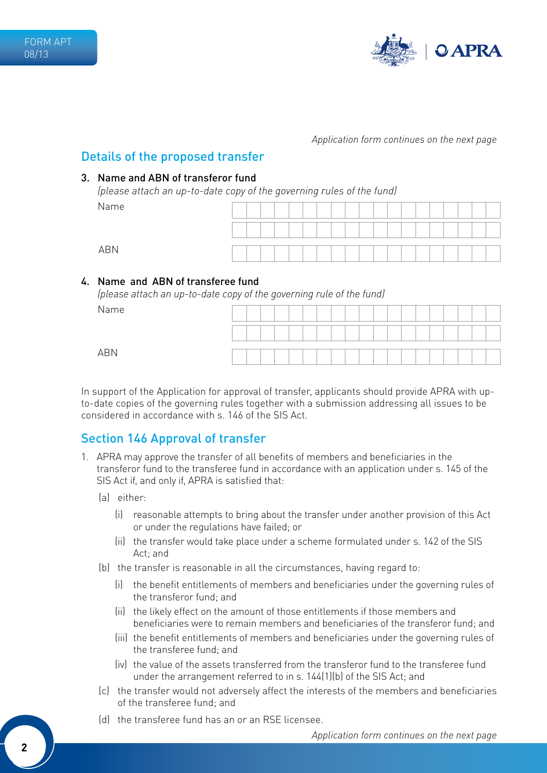

### Details of the proposed transfer

#### 3. Name and ABN of transferor fund

*(please attach an up-to-date copy of the governing rules of the fund)* Name

|            | . |  | $\tilde{\phantom{a}}$ |  |  |  |  |  |  |  |  |
|------------|---|--|-----------------------|--|--|--|--|--|--|--|--|
| Name       |   |  |                       |  |  |  |  |  |  |  |  |
|            |   |  |                       |  |  |  |  |  |  |  |  |
|            |   |  |                       |  |  |  |  |  |  |  |  |
| <b>ABN</b> |   |  |                       |  |  |  |  |  |  |  |  |

#### 4. Name and ABN of transferee fund

*(please attach an up-to-date copy of the governing rule of the fund)*

Name

ABN

| e |  |  |  |  |  |  |  |  |  |  |
|---|--|--|--|--|--|--|--|--|--|--|
|   |  |  |  |  |  |  |  |  |  |  |
|   |  |  |  |  |  |  |  |  |  |  |

In support of the Application for approval of transfer, applicants should provide APRA with upto-date copies of the governing rules together with a submission addressing all issues to be considered in accordance with s. 146 of the SIS Act.

## Section 146 Approval of transfer

- 1. APRA may approve the transfer of all benefits of members and beneficiaries in the transferor fund to the transferee fund in accordance with an application under s. 145 of the SIS Act if, and only if, APRA is satisfied that:
	- (a) either:
		- (i) reasonable attempts to bring about the transfer under another provision of this Act or under the regulations have failed; or
		- (ii) the transfer would take place under a scheme formulated under s. 142 of the SIS Act; and
	- (b) the transfer is reasonable in all the circumstances, having regard to:
		- (i) the benefit entitlements of members and beneficiaries under the governing rules of the transferor fund; and
		- (ii) the likely effect on the amount of those entitlements if those members and beneficiaries were to remain members and beneficiaries of the transferor fund; and
		- (iii) the benefit entitlements of members and beneficiaries under the governing rules of the transferee fund; and
		- (iv) the value of the assets transferred from the transferor fund to the transferee fund under the arrangement referred to in s. 144(1)(b) of the SIS Act; and
	- (c) the transfer would not adversely affect the interests of the members and beneficiaries of the transferee fund; and
	- (d) the transferee fund has an or an RSE licensee.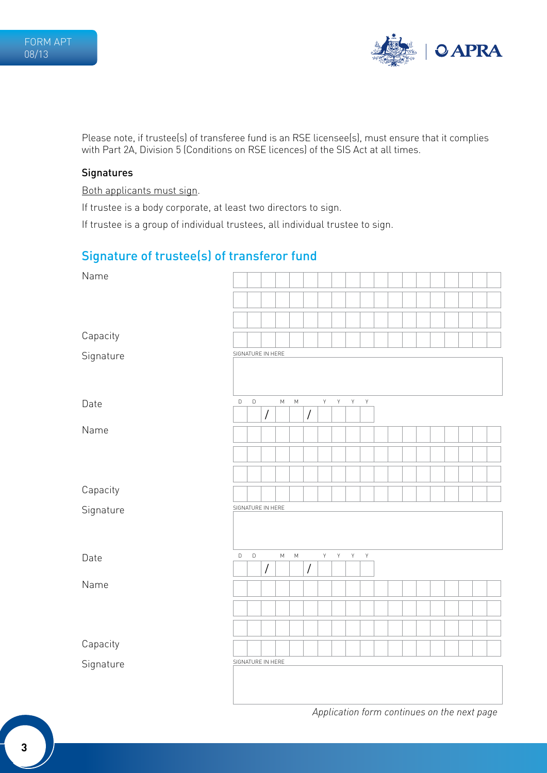

Please note, if trustee(s) of transferee fund is an RSE licensee(s), must ensure that it complies with Part 2A, Division 5 (Conditions on RSE licences) of the SIS Act at all times.

#### **Signatures**

Both applicants must sign.

If trustee is a body corporate, at least two directors to sign.

If trustee is a group of individual trustees, all individual trustee to sign.

# Signature of trustee(s) of transferor fund

| Name      |                   |             |                      |           |           |                      |             |    |                |             |  |  |  |  |  |
|-----------|-------------------|-------------|----------------------|-----------|-----------|----------------------|-------------|----|----------------|-------------|--|--|--|--|--|
|           |                   |             |                      |           |           |                      |             |    |                |             |  |  |  |  |  |
|           |                   |             |                      |           |           |                      |             |    |                |             |  |  |  |  |  |
| Capacity  |                   |             |                      |           |           |                      |             |    |                |             |  |  |  |  |  |
| Signature | SIGNATURE IN HERE |             |                      |           |           |                      |             |    |                |             |  |  |  |  |  |
|           |                   |             |                      |           |           |                      |             |    |                |             |  |  |  |  |  |
| Date      | $\mathsf D$       | $\mathsf D$ |                      | М         | ${\sf M}$ |                      | $\mathsf Y$ | Y  | $\mathsf{Y}$   | $\mathsf Y$ |  |  |  |  |  |
|           |                   |             | /                    |           |           | $\sqrt{\ }$          |             |    |                |             |  |  |  |  |  |
| Name      |                   |             |                      |           |           |                      |             |    |                |             |  |  |  |  |  |
|           |                   |             |                      |           |           |                      |             |    |                |             |  |  |  |  |  |
|           |                   |             |                      |           |           |                      |             |    |                |             |  |  |  |  |  |
| Capacity  |                   |             |                      |           |           |                      |             |    |                |             |  |  |  |  |  |
| Signature | SIGNATURE IN HERE |             |                      |           |           |                      |             |    |                |             |  |  |  |  |  |
|           |                   |             |                      |           |           |                      |             |    |                |             |  |  |  |  |  |
| Date      | $\mathsf D$       | $\mathsf D$ |                      | ${\sf M}$ | ${\sf M}$ |                      | $\mathsf Y$ | Y. | $\mathsf{Y}^-$ | $\mathsf Y$ |  |  |  |  |  |
|           |                   |             | $\sqrt{\phantom{a}}$ |           |           | $\sqrt{\phantom{a}}$ |             |    |                |             |  |  |  |  |  |
| Name      |                   |             |                      |           |           |                      |             |    |                |             |  |  |  |  |  |
|           |                   |             |                      |           |           |                      |             |    |                |             |  |  |  |  |  |
|           |                   |             |                      |           |           |                      |             |    |                |             |  |  |  |  |  |
| Capacity  |                   |             |                      |           |           |                      |             |    |                |             |  |  |  |  |  |
| Signature | SIGNATURE IN HERE |             |                      |           |           |                      |             |    |                |             |  |  |  |  |  |
|           |                   |             |                      |           |           |                      |             |    |                |             |  |  |  |  |  |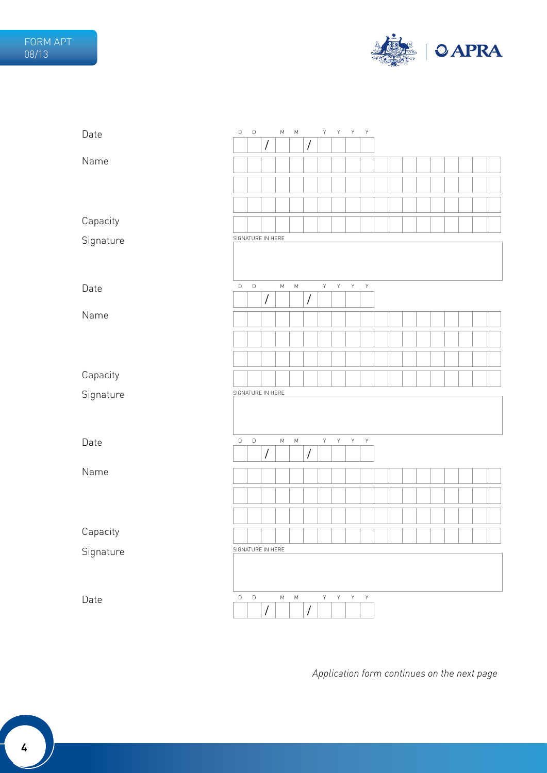

| Date      | D                 | $\mathsf D$ |                      | ${\sf M}$ | М         |                      | Y              | Y            | Y              | Y            |  |  |  |  |  |
|-----------|-------------------|-------------|----------------------|-----------|-----------|----------------------|----------------|--------------|----------------|--------------|--|--|--|--|--|
|           |                   |             | $\sqrt{\phantom{a}}$ |           |           | $\overline{1}$       |                |              |                |              |  |  |  |  |  |
| Name      |                   |             |                      |           |           |                      |                |              |                |              |  |  |  |  |  |
|           |                   |             |                      |           |           |                      |                |              |                |              |  |  |  |  |  |
|           |                   |             |                      |           |           |                      |                |              |                |              |  |  |  |  |  |
|           |                   |             |                      |           |           |                      |                |              |                |              |  |  |  |  |  |
| Capacity  |                   |             |                      |           |           |                      |                |              |                |              |  |  |  |  |  |
| Signature | SIGNATURE IN HERE |             |                      |           |           |                      |                |              |                |              |  |  |  |  |  |
|           |                   |             |                      |           |           |                      |                |              |                |              |  |  |  |  |  |
|           |                   |             |                      |           |           |                      |                |              |                |              |  |  |  |  |  |
| Date      | D                 | $\mathsf D$ |                      | ${\sf M}$ | ${\sf M}$ |                      | $\mathsf{Y}$   | Y            | $\mathsf{Y}$   | $\mathsf{Y}$ |  |  |  |  |  |
|           |                   |             | $\sqrt{\phantom{a}}$ |           |           | $\sqrt{\phantom{a}}$ |                |              |                |              |  |  |  |  |  |
| Name      |                   |             |                      |           |           |                      |                |              |                |              |  |  |  |  |  |
|           |                   |             |                      |           |           |                      |                |              |                |              |  |  |  |  |  |
|           |                   |             |                      |           |           |                      |                |              |                |              |  |  |  |  |  |
|           |                   |             |                      |           |           |                      |                |              |                |              |  |  |  |  |  |
| Capacity  |                   |             |                      |           |           |                      |                |              |                |              |  |  |  |  |  |
| Signature | SIGNATURE IN HERE |             |                      |           |           |                      |                |              |                |              |  |  |  |  |  |
|           |                   |             |                      |           |           |                      |                |              |                |              |  |  |  |  |  |
|           |                   |             |                      |           |           |                      |                |              |                |              |  |  |  |  |  |
| Date      | D                 | $\mathsf D$ |                      | ${\sf M}$ | ${\sf M}$ |                      | $\mathsf{Y}$   | $\mathsf{Y}$ | $\mathsf{Y}^-$ | $\mathsf{Y}$ |  |  |  |  |  |
|           |                   |             | $\sqrt{\phantom{a}}$ |           |           | $\sqrt{\phantom{a}}$ |                |              |                |              |  |  |  |  |  |
| Name      |                   |             |                      |           |           |                      |                |              |                |              |  |  |  |  |  |
|           |                   |             |                      |           |           |                      |                |              |                |              |  |  |  |  |  |
|           |                   |             |                      |           |           |                      |                |              |                |              |  |  |  |  |  |
|           |                   |             |                      |           |           |                      |                |              |                |              |  |  |  |  |  |
| Capacity  |                   |             |                      |           |           |                      |                |              |                |              |  |  |  |  |  |
| Signature | SIGNATURE IN HERE |             |                      |           |           |                      |                |              |                |              |  |  |  |  |  |
|           |                   |             |                      |           |           |                      |                |              |                |              |  |  |  |  |  |
|           |                   |             |                      |           |           |                      |                |              |                |              |  |  |  |  |  |
| Date      | $\mathsf D$       | $\mathsf D$ |                      | ${\sf M}$ | ${\sf M}$ |                      | $\mathsf{Y}^-$ | Y            | $\mathsf{Y}$   | $\mathsf Y$  |  |  |  |  |  |
|           |                   |             |                      |           |           |                      |                |              |                |              |  |  |  |  |  |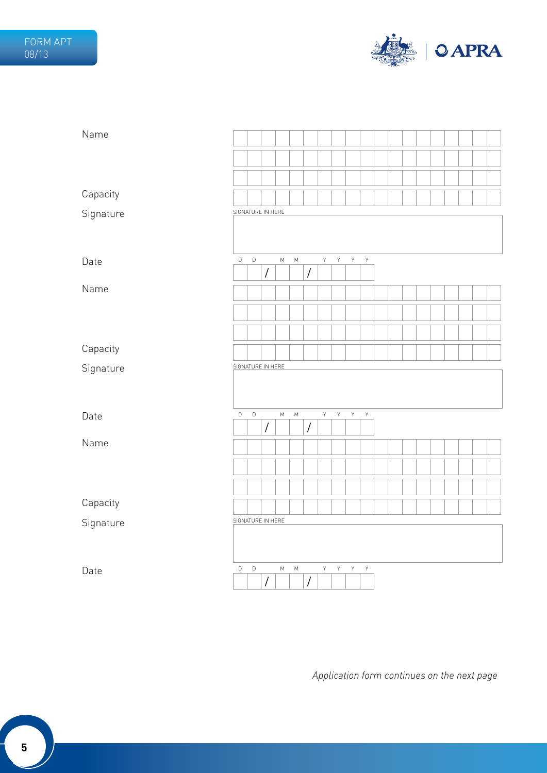

| Name      |             |                   |                |           |           |                      |   |   |              |              |  |  |  |  |  |
|-----------|-------------|-------------------|----------------|-----------|-----------|----------------------|---|---|--------------|--------------|--|--|--|--|--|
|           |             |                   |                |           |           |                      |   |   |              |              |  |  |  |  |  |
|           |             |                   |                |           |           |                      |   |   |              |              |  |  |  |  |  |
| Capacity  |             |                   |                |           |           |                      |   |   |              |              |  |  |  |  |  |
| Signature |             | SIGNATURE IN HERE |                |           |           |                      |   |   |              |              |  |  |  |  |  |
|           |             |                   |                |           |           |                      |   |   |              |              |  |  |  |  |  |
| Date      | $\mathsf D$ | $\mathsf D$       |                | ${\sf M}$ | ${\sf M}$ |                      | Y | Y | $\mathsf{Y}$ | $\mathsf{Y}$ |  |  |  |  |  |
|           |             |                   | $\overline{I}$ |           |           | $\sqrt{\phantom{a}}$ |   |   |              |              |  |  |  |  |  |
| Name      |             |                   |                |           |           |                      |   |   |              |              |  |  |  |  |  |
|           |             |                   |                |           |           |                      |   |   |              |              |  |  |  |  |  |
|           |             |                   |                |           |           |                      |   |   |              |              |  |  |  |  |  |
| Capacity  |             |                   |                |           |           |                      |   |   |              |              |  |  |  |  |  |
| Signature |             | SIGNATURE IN HERE |                |           |           |                      |   |   |              |              |  |  |  |  |  |
|           |             |                   |                |           |           |                      |   |   |              |              |  |  |  |  |  |
| Date      | D           | D                 |                | ${\sf M}$ | ${\sf M}$ |                      | Y | Y | Y            | Υ            |  |  |  |  |  |
| Name      |             |                   | $\overline{1}$ |           |           | $\sqrt{\phantom{a}}$ |   |   |              |              |  |  |  |  |  |
|           |             |                   |                |           |           |                      |   |   |              |              |  |  |  |  |  |
|           |             |                   |                |           |           |                      |   |   |              |              |  |  |  |  |  |
|           |             |                   |                |           |           |                      |   |   |              |              |  |  |  |  |  |
| Capacity  |             |                   |                |           |           |                      |   |   |              |              |  |  |  |  |  |
| Signature |             | SIGNATURE IN HERE |                |           |           |                      |   |   |              |              |  |  |  |  |  |
|           |             |                   |                |           |           |                      |   |   |              |              |  |  |  |  |  |
|           |             |                   |                |           |           |                      |   |   |              |              |  |  |  |  |  |
| Date      | D           | D                 | $\overline{1}$ | М         | М         | $\sqrt{\phantom{a}}$ | Y | Y | Y            | Y            |  |  |  |  |  |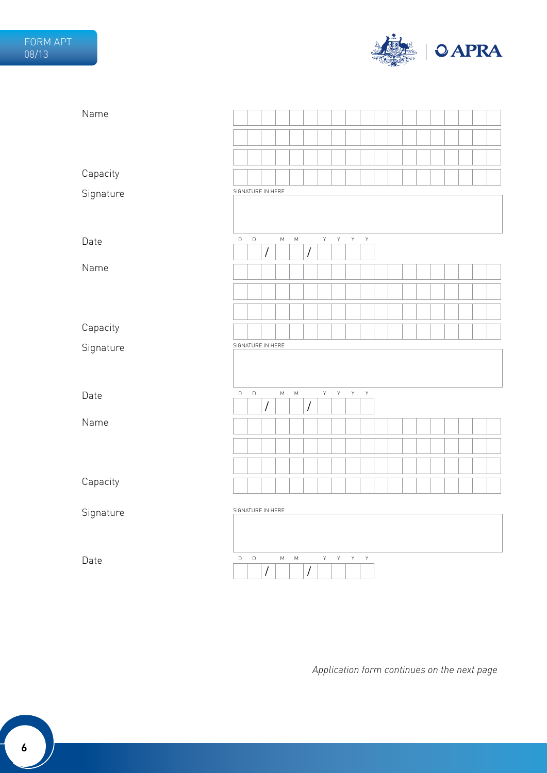

| Name      |             |             |                      |           |                                                                                       |                      |             |                |              |              |  |  |  |  |  |
|-----------|-------------|-------------|----------------------|-----------|---------------------------------------------------------------------------------------|----------------------|-------------|----------------|--------------|--------------|--|--|--|--|--|
|           |             |             |                      |           |                                                                                       |                      |             |                |              |              |  |  |  |  |  |
|           |             |             |                      |           |                                                                                       |                      |             |                |              |              |  |  |  |  |  |
| Capacity  |             |             |                      |           |                                                                                       |                      |             |                |              |              |  |  |  |  |  |
| Signature |             |             | SIGNATURE IN HERE    |           |                                                                                       |                      |             |                |              |              |  |  |  |  |  |
|           |             |             |                      |           |                                                                                       |                      |             |                |              |              |  |  |  |  |  |
| Date      | $\mathsf D$ | $\mathsf D$ |                      | ${\sf M}$ | $\mathsf{M}% _{T}=\mathsf{M}_{T}\!\left( a,b\right) ,\ \mathsf{M}_{T}=\mathsf{M}_{T}$ |                      | $\mathsf Y$ | $\mathsf{Y}$   | $\mathsf{Y}$ | $\mathsf Y$  |  |  |  |  |  |
|           |             |             | $\sqrt{\phantom{a}}$ |           |                                                                                       | $\sqrt{\phantom{a}}$ |             |                |              |              |  |  |  |  |  |
| Name      |             |             |                      |           |                                                                                       |                      |             |                |              |              |  |  |  |  |  |
|           |             |             |                      |           |                                                                                       |                      |             |                |              |              |  |  |  |  |  |
|           |             |             |                      |           |                                                                                       |                      |             |                |              |              |  |  |  |  |  |
| Capacity  |             |             |                      |           |                                                                                       |                      |             |                |              |              |  |  |  |  |  |
| Signature |             |             | SIGNATURE IN HERE    |           |                                                                                       |                      |             |                |              |              |  |  |  |  |  |
|           |             |             |                      |           |                                                                                       |                      |             |                |              |              |  |  |  |  |  |
| Date      | $\mathsf D$ | $\mathsf D$ |                      | ${\sf M}$ | ${\sf M}$                                                                             |                      | $\mathsf Y$ | Y              | Y            | $\mathsf{Y}$ |  |  |  |  |  |
|           |             |             | $\sqrt{\phantom{a}}$ |           |                                                                                       | $\sqrt{\phantom{a}}$ |             |                |              |              |  |  |  |  |  |
| Name      |             |             |                      |           |                                                                                       |                      |             |                |              |              |  |  |  |  |  |
|           |             |             |                      |           |                                                                                       |                      |             |                |              |              |  |  |  |  |  |
|           |             |             |                      |           |                                                                                       |                      |             |                |              |              |  |  |  |  |  |
| Capacity  |             |             |                      |           |                                                                                       |                      |             |                |              |              |  |  |  |  |  |
| Signature |             |             | SIGNATURE IN HERE    |           |                                                                                       |                      |             |                |              |              |  |  |  |  |  |
|           |             |             |                      |           |                                                                                       |                      |             |                |              |              |  |  |  |  |  |
|           |             |             |                      |           |                                                                                       |                      |             |                |              |              |  |  |  |  |  |
| Date      | D           | $\mathsf D$ | $\sqrt{\ }$          | ${\sf M}$ | ${\sf M}$                                                                             | $\sqrt{\ }$          | $\mathsf Y$ | $\mathsf{Y}^-$ | Y            | Y            |  |  |  |  |  |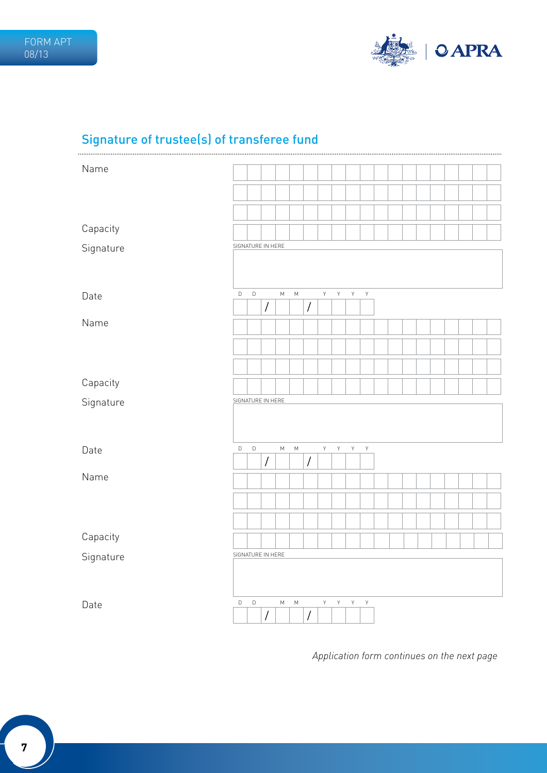

# Signature of trustee(s) of transferee fund

| Name      |                   |             |                      |           |           |                      |             |             |             |             |  |  |  |  |  |
|-----------|-------------------|-------------|----------------------|-----------|-----------|----------------------|-------------|-------------|-------------|-------------|--|--|--|--|--|
|           |                   |             |                      |           |           |                      |             |             |             |             |  |  |  |  |  |
|           |                   |             |                      |           |           |                      |             |             |             |             |  |  |  |  |  |
|           |                   |             |                      |           |           |                      |             |             |             |             |  |  |  |  |  |
|           |                   |             |                      |           |           |                      |             |             |             |             |  |  |  |  |  |
| Capacity  |                   |             |                      |           |           |                      |             |             |             |             |  |  |  |  |  |
| Signature | SIGNATURE IN HERE |             |                      |           |           |                      |             |             |             |             |  |  |  |  |  |
|           |                   |             |                      |           |           |                      |             |             |             |             |  |  |  |  |  |
|           |                   |             |                      |           |           |                      |             |             |             |             |  |  |  |  |  |
| Date      | $\mathsf D$       | $\mathsf D$ |                      | ${\sf M}$ | ${\sf M}$ |                      | $\mathsf Y$ | $\mathsf Y$ | $\mathsf Y$ | $\mathsf Y$ |  |  |  |  |  |
|           |                   |             | $\sqrt{\phantom{a}}$ |           |           | $\sqrt{\phantom{a}}$ |             |             |             |             |  |  |  |  |  |
| Name      |                   |             |                      |           |           |                      |             |             |             |             |  |  |  |  |  |
|           |                   |             |                      |           |           |                      |             |             |             |             |  |  |  |  |  |
|           |                   |             |                      |           |           |                      |             |             |             |             |  |  |  |  |  |
|           |                   |             |                      |           |           |                      |             |             |             |             |  |  |  |  |  |
| Capacity  |                   |             |                      |           |           |                      |             |             |             |             |  |  |  |  |  |
|           | SIGNATURE IN HERE |             |                      |           |           |                      |             |             |             |             |  |  |  |  |  |
| Signature |                   |             |                      |           |           |                      |             |             |             |             |  |  |  |  |  |
|           |                   |             |                      |           |           |                      |             |             |             |             |  |  |  |  |  |
|           |                   |             |                      |           |           |                      |             |             |             |             |  |  |  |  |  |
| Date      | D                 | $\mathsf D$ |                      | ${\sf M}$ | ${\sf M}$ |                      | $\mathsf Y$ | $\mathsf Y$ | $\mathsf Y$ | $\mathsf Y$ |  |  |  |  |  |
|           |                   |             | $\sqrt{\phantom{a}}$ |           |           | $\overline{1}$       |             |             |             |             |  |  |  |  |  |
| Name      |                   |             |                      |           |           |                      |             |             |             |             |  |  |  |  |  |
|           |                   |             |                      |           |           |                      |             |             |             |             |  |  |  |  |  |
|           |                   |             |                      |           |           |                      |             |             |             |             |  |  |  |  |  |
|           |                   |             |                      |           |           |                      |             |             |             |             |  |  |  |  |  |
| Capacity  |                   |             |                      |           |           |                      |             |             |             |             |  |  |  |  |  |
| Signature | SIGNATURE IN HERE |             |                      |           |           |                      |             |             |             |             |  |  |  |  |  |
|           |                   |             |                      |           |           |                      |             |             |             |             |  |  |  |  |  |
|           |                   |             |                      |           |           |                      |             |             |             |             |  |  |  |  |  |
| Date      | D                 | $\mathsf D$ |                      | М         | ${\sf M}$ |                      | Y           | Y           | $\mathsf Y$ | $\mathsf Y$ |  |  |  |  |  |
|           |                   |             | $\overline{1}$       |           |           | $\overline{1}$       |             |             |             |             |  |  |  |  |  |
|           |                   |             |                      |           |           |                      |             |             |             |             |  |  |  |  |  |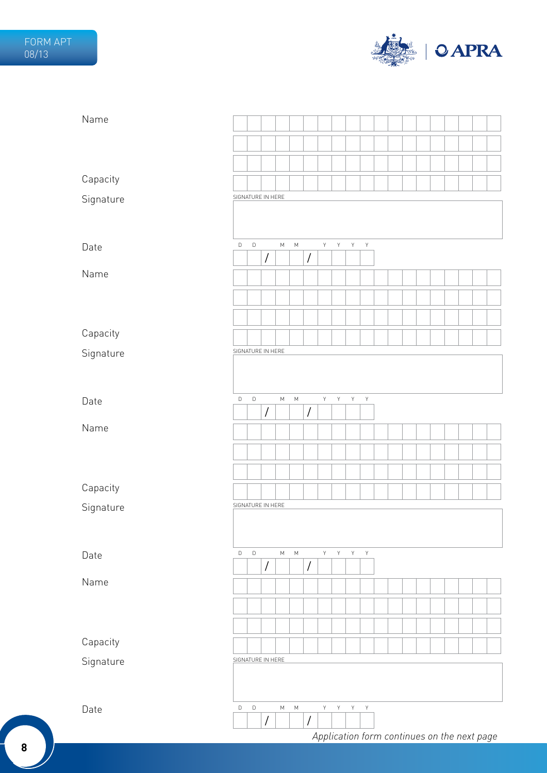

| Name      |                   |             |                      |           |           |                      |                |              |                         |             |                                             |  |  |  |  |
|-----------|-------------------|-------------|----------------------|-----------|-----------|----------------------|----------------|--------------|-------------------------|-------------|---------------------------------------------|--|--|--|--|
|           |                   |             |                      |           |           |                      |                |              |                         |             |                                             |  |  |  |  |
|           |                   |             |                      |           |           |                      |                |              |                         |             |                                             |  |  |  |  |
| Capacity  |                   |             |                      |           |           |                      |                |              |                         |             |                                             |  |  |  |  |
| Signature | SIGNATURE IN HERE |             |                      |           |           |                      |                |              |                         |             |                                             |  |  |  |  |
|           |                   |             |                      |           |           |                      |                |              |                         |             |                                             |  |  |  |  |
|           |                   |             |                      |           |           |                      |                |              |                         |             |                                             |  |  |  |  |
| Date      | $\mathsf D$       | $\mathsf D$ | $\prime$             | ${\sf M}$ | ${\sf M}$ | $\sqrt{\phantom{a}}$ | $\mathsf{Y}^-$ | $\mathsf Y$  | Y                       | $\mathsf Y$ |                                             |  |  |  |  |
| Name      |                   |             |                      |           |           |                      |                |              |                         |             |                                             |  |  |  |  |
|           |                   |             |                      |           |           |                      |                |              |                         |             |                                             |  |  |  |  |
|           |                   |             |                      |           |           |                      |                |              |                         |             |                                             |  |  |  |  |
|           |                   |             |                      |           |           |                      |                |              |                         |             |                                             |  |  |  |  |
| Capacity  | SIGNATURE IN HERE |             |                      |           |           |                      |                |              |                         |             |                                             |  |  |  |  |
| Signature |                   |             |                      |           |           |                      |                |              |                         |             |                                             |  |  |  |  |
|           |                   |             |                      |           |           |                      |                |              |                         |             |                                             |  |  |  |  |
| Date      | $\mathsf D$       | $\mathsf D$ |                      | ${\sf M}$ | ${\sf M}$ |                      | $\mathsf{Y}^-$ | $\mathsf{Y}$ | Y                       | $\mathsf Y$ |                                             |  |  |  |  |
|           |                   |             | $\sqrt{\phantom{a}}$ |           |           | $\sqrt{\phantom{a}}$ |                |              |                         |             |                                             |  |  |  |  |
| Name      |                   |             |                      |           |           |                      |                |              |                         |             |                                             |  |  |  |  |
|           |                   |             |                      |           |           |                      |                |              |                         |             |                                             |  |  |  |  |
|           |                   |             |                      |           |           |                      |                |              |                         |             |                                             |  |  |  |  |
| Capacity  |                   |             |                      |           |           |                      |                |              |                         |             |                                             |  |  |  |  |
| Signature | SIGNATURE IN HERE |             |                      |           |           |                      |                |              |                         |             |                                             |  |  |  |  |
|           |                   |             |                      |           |           |                      |                |              |                         |             |                                             |  |  |  |  |
|           |                   |             |                      |           |           |                      |                |              |                         |             |                                             |  |  |  |  |
| Date      | $\mathsf D$       | $\mathsf D$ | $\sqrt{\phantom{a}}$ | ${\sf M}$ | ${\sf M}$ | $\sqrt{\phantom{a}}$ | Y -            | Y            | $\mathsf{Y}=\mathsf{Y}$ |             |                                             |  |  |  |  |
| Name      |                   |             |                      |           |           |                      |                |              |                         |             |                                             |  |  |  |  |
|           |                   |             |                      |           |           |                      |                |              |                         |             |                                             |  |  |  |  |
|           |                   |             |                      |           |           |                      |                |              |                         |             |                                             |  |  |  |  |
| Capacity  |                   |             |                      |           |           |                      |                |              |                         |             |                                             |  |  |  |  |
| Signature | SIGNATURE IN HERE |             |                      |           |           |                      |                |              |                         |             |                                             |  |  |  |  |
|           |                   |             |                      |           |           |                      |                |              |                         |             |                                             |  |  |  |  |
|           |                   |             |                      |           |           |                      |                |              |                         |             |                                             |  |  |  |  |
| Date      | $\mathsf D$       | $\mathsf D$ |                      | М         | ${\sf M}$ |                      | Y -            | Y .          | $\mathsf{Y}=\mathsf{Y}$ |             |                                             |  |  |  |  |
|           |                   |             | $\bigg)$             |           |           | $\sqrt{\phantom{a}}$ |                |              |                         |             |                                             |  |  |  |  |
|           |                   |             |                      |           |           |                      |                |              |                         |             | Application form continues on the next page |  |  |  |  |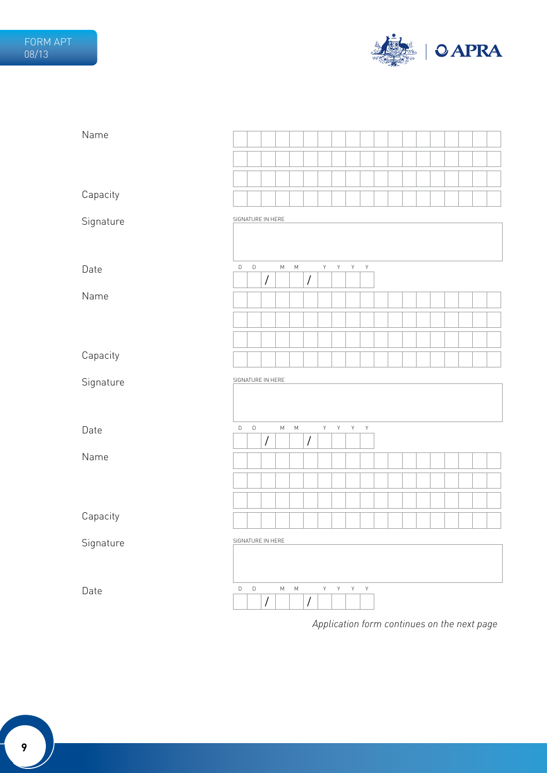

| Name      |                   |             |                      |           |           |                      |             |              |             |              |  |  |  |  |  |
|-----------|-------------------|-------------|----------------------|-----------|-----------|----------------------|-------------|--------------|-------------|--------------|--|--|--|--|--|
|           |                   |             |                      |           |           |                      |             |              |             |              |  |  |  |  |  |
|           |                   |             |                      |           |           |                      |             |              |             |              |  |  |  |  |  |
| Capacity  |                   |             |                      |           |           |                      |             |              |             |              |  |  |  |  |  |
| Signature | SIGNATURE IN HERE |             |                      |           |           |                      |             |              |             |              |  |  |  |  |  |
|           |                   |             |                      |           |           |                      |             |              |             |              |  |  |  |  |  |
| Date      | $\mathsf D$       | $\mathsf D$ | $\sqrt{2}$           | ${\sf M}$ | ${\sf M}$ | $\prime$             | $\mathsf Y$ | $\mathsf{Y}$ | $\mathsf Y$ | $\mathsf Y$  |  |  |  |  |  |
| Name      |                   |             |                      |           |           |                      |             |              |             |              |  |  |  |  |  |
|           |                   |             |                      |           |           |                      |             |              |             |              |  |  |  |  |  |
|           |                   |             |                      |           |           |                      |             |              |             |              |  |  |  |  |  |
| Capacity  |                   |             |                      |           |           |                      |             |              |             |              |  |  |  |  |  |
|           | SIGNATURE IN HERE |             |                      |           |           |                      |             |              |             |              |  |  |  |  |  |
| Signature |                   |             |                      |           |           |                      |             |              |             |              |  |  |  |  |  |
|           |                   |             |                      |           |           |                      |             |              |             |              |  |  |  |  |  |
| Date      | D                 | $\mathsf D$ | $\overline{1}$       | ${\sf M}$ | ${\sf M}$ | $\sqrt{\phantom{a}}$ | $\mathsf Y$ | Y            | Y           | $\mathsf Y$  |  |  |  |  |  |
| Name      |                   |             |                      |           |           |                      |             |              |             |              |  |  |  |  |  |
|           |                   |             |                      |           |           |                      |             |              |             |              |  |  |  |  |  |
|           |                   |             |                      |           |           |                      |             |              |             |              |  |  |  |  |  |
| Capacity  |                   |             |                      |           |           |                      |             |              |             |              |  |  |  |  |  |
|           | SIGNATURE IN HERE |             |                      |           |           |                      |             |              |             |              |  |  |  |  |  |
| Signature |                   |             |                      |           |           |                      |             |              |             |              |  |  |  |  |  |
|           |                   |             |                      |           |           |                      |             |              |             |              |  |  |  |  |  |
| Date      | $\mathsf D$       | $\mathsf D$ | $\sqrt{\phantom{a}}$ | ${\sf M}$ | ${\sf M}$ | $\sqrt{\phantom{a}}$ |             | Y Y          | Y           | $\mathsf{Y}$ |  |  |  |  |  |